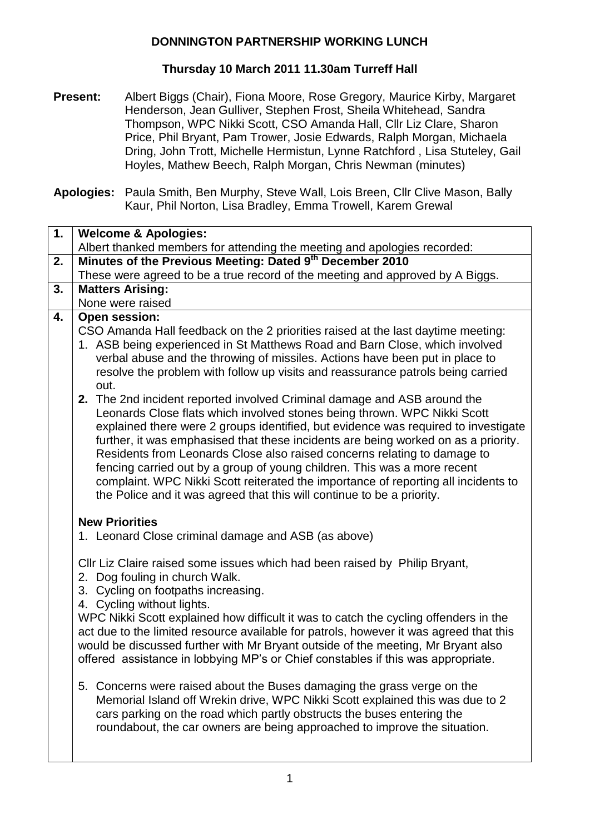## **DONNINGTON PARTNERSHIP WORKING LUNCH**

## **Thursday 10 March 2011 11.30am Turreff Hall**

**Present:** Albert Biggs (Chair), Fiona Moore, Rose Gregory, Maurice Kirby, Margaret Henderson, Jean Gulliver, Stephen Frost, Sheila Whitehead, Sandra Thompson, WPC Nikki Scott, CSO Amanda Hall, Cllr Liz Clare, Sharon Price, Phil Bryant, Pam Trower, Josie Edwards, Ralph Morgan, Michaela Dring, John Trott, Michelle Hermistun, Lynne Ratchford , Lisa Stuteley, Gail Hoyles, Mathew Beech, Ralph Morgan, Chris Newman (minutes)

**Apologies:** Paula Smith, Ben Murphy, Steve Wall, Lois Breen, Cllr Clive Mason, Bally Kaur, Phil Norton, Lisa Bradley, Emma Trowell, Karem Grewal

| 1. | <b>Welcome &amp; Apologies:</b><br>Albert thanked members for attending the meeting and apologies recorded: |  |  |
|----|-------------------------------------------------------------------------------------------------------------|--|--|
| 2. | Minutes of the Previous Meeting: Dated 9th December 2010                                                    |  |  |
|    | These were agreed to be a true record of the meeting and approved by A Biggs.                               |  |  |
| 3. | <b>Matters Arising:</b>                                                                                     |  |  |
|    | None were raised                                                                                            |  |  |
| 4. | <b>Open session:</b>                                                                                        |  |  |
|    | CSO Amanda Hall feedback on the 2 priorities raised at the last daytime meeting:                            |  |  |
|    | 1. ASB being experienced in St Matthews Road and Barn Close, which involved                                 |  |  |
|    | verbal abuse and the throwing of missiles. Actions have been put in place to                                |  |  |
|    | resolve the problem with follow up visits and reassurance patrols being carried                             |  |  |
|    | out.<br>2. The 2nd incident reported involved Criminal damage and ASB around the                            |  |  |
|    | Leonards Close flats which involved stones being thrown. WPC Nikki Scott                                    |  |  |
|    | explained there were 2 groups identified, but evidence was required to investigate                          |  |  |
|    | further, it was emphasised that these incidents are being worked on as a priority.                          |  |  |
|    | Residents from Leonards Close also raised concerns relating to damage to                                    |  |  |
|    | fencing carried out by a group of young children. This was a more recent                                    |  |  |
|    | complaint. WPC Nikki Scott reiterated the importance of reporting all incidents to                          |  |  |
|    | the Police and it was agreed that this will continue to be a priority.                                      |  |  |
|    | <b>New Priorities</b>                                                                                       |  |  |
|    | 1. Leonard Close criminal damage and ASB (as above)                                                         |  |  |
|    |                                                                                                             |  |  |
|    | Cllr Liz Claire raised some issues which had been raised by Philip Bryant,                                  |  |  |
|    | 2. Dog fouling in church Walk.                                                                              |  |  |
|    | 3. Cycling on footpaths increasing.                                                                         |  |  |
|    | 4. Cycling without lights.                                                                                  |  |  |
|    | WPC Nikki Scott explained how difficult it was to catch the cycling offenders in the                        |  |  |
|    | act due to the limited resource available for patrols, however it was agreed that this                      |  |  |
|    | would be discussed further with Mr Bryant outside of the meeting, Mr Bryant also                            |  |  |
|    | offered assistance in lobbying MP's or Chief constables if this was appropriate.                            |  |  |
|    | 5. Concerns were raised about the Buses damaging the grass verge on the                                     |  |  |
|    | Memorial Island off Wrekin drive, WPC Nikki Scott explained this was due to 2                               |  |  |
|    | cars parking on the road which partly obstructs the buses entering the                                      |  |  |
|    | roundabout, the car owners are being approached to improve the situation.                                   |  |  |
|    |                                                                                                             |  |  |
|    |                                                                                                             |  |  |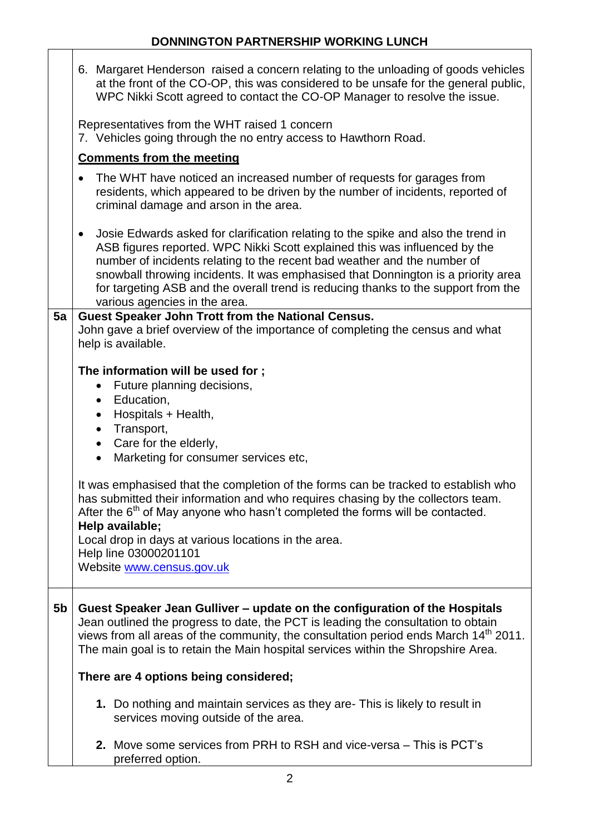|                | 6. Margaret Henderson raised a concern relating to the unloading of goods vehicles<br>at the front of the CO-OP, this was considered to be unsafe for the general public,<br>WPC Nikki Scott agreed to contact the CO-OP Manager to resolve the issue.                                                                                                                                                                                                       |
|----------------|--------------------------------------------------------------------------------------------------------------------------------------------------------------------------------------------------------------------------------------------------------------------------------------------------------------------------------------------------------------------------------------------------------------------------------------------------------------|
|                | Representatives from the WHT raised 1 concern<br>7. Vehicles going through the no entry access to Hawthorn Road.                                                                                                                                                                                                                                                                                                                                             |
|                | <b>Comments from the meeting</b>                                                                                                                                                                                                                                                                                                                                                                                                                             |
|                | The WHT have noticed an increased number of requests for garages from<br>$\bullet$<br>residents, which appeared to be driven by the number of incidents, reported of<br>criminal damage and arson in the area.                                                                                                                                                                                                                                               |
|                | Josie Edwards asked for clarification relating to the spike and also the trend in<br>٠<br>ASB figures reported. WPC Nikki Scott explained this was influenced by the<br>number of incidents relating to the recent bad weather and the number of<br>snowball throwing incidents. It was emphasised that Donnington is a priority area<br>for targeting ASB and the overall trend is reducing thanks to the support from the<br>various agencies in the area. |
| 5a             | Guest Speaker John Trott from the National Census.                                                                                                                                                                                                                                                                                                                                                                                                           |
|                | John gave a brief overview of the importance of completing the census and what                                                                                                                                                                                                                                                                                                                                                                               |
|                | help is available.                                                                                                                                                                                                                                                                                                                                                                                                                                           |
|                |                                                                                                                                                                                                                                                                                                                                                                                                                                                              |
|                | The information will be used for;<br>Future planning decisions,<br>$\bullet$                                                                                                                                                                                                                                                                                                                                                                                 |
|                | Education,<br>$\bullet$                                                                                                                                                                                                                                                                                                                                                                                                                                      |
|                | Hospitals + Health,<br>$\bullet$                                                                                                                                                                                                                                                                                                                                                                                                                             |
|                | Transport,<br>$\bullet$                                                                                                                                                                                                                                                                                                                                                                                                                                      |
|                | Care for the elderly,<br>$\bullet$                                                                                                                                                                                                                                                                                                                                                                                                                           |
|                | Marketing for consumer services etc,<br>$\bullet$                                                                                                                                                                                                                                                                                                                                                                                                            |
|                |                                                                                                                                                                                                                                                                                                                                                                                                                                                              |
|                | It was emphasised that the completion of the forms can be tracked to establish who                                                                                                                                                                                                                                                                                                                                                                           |
|                | has submitted their information and who requires chasing by the collectors team.                                                                                                                                                                                                                                                                                                                                                                             |
|                | After the $6th$ of May anyone who hasn't completed the forms will be contacted.<br>Help available;                                                                                                                                                                                                                                                                                                                                                           |
|                | Local drop in days at various locations in the area.                                                                                                                                                                                                                                                                                                                                                                                                         |
|                | Help line 03000201101                                                                                                                                                                                                                                                                                                                                                                                                                                        |
|                | Website www.census.gov.uk                                                                                                                                                                                                                                                                                                                                                                                                                                    |
|                |                                                                                                                                                                                                                                                                                                                                                                                                                                                              |
| 5 <sub>b</sub> | Guest Speaker Jean Gulliver – update on the configuration of the Hospitals                                                                                                                                                                                                                                                                                                                                                                                   |
|                | Jean outlined the progress to date, the PCT is leading the consultation to obtain<br>views from all areas of the community, the consultation period ends March 14 <sup>th</sup> 2011.                                                                                                                                                                                                                                                                        |
|                | The main goal is to retain the Main hospital services within the Shropshire Area.                                                                                                                                                                                                                                                                                                                                                                            |
|                |                                                                                                                                                                                                                                                                                                                                                                                                                                                              |
|                | There are 4 options being considered;                                                                                                                                                                                                                                                                                                                                                                                                                        |
|                | 1. Do nothing and maintain services as they are- This is likely to result in<br>services moving outside of the area.                                                                                                                                                                                                                                                                                                                                         |
|                | <b>2.</b> Move some services from PRH to RSH and vice-versa – This is PCT's<br>preferred option.                                                                                                                                                                                                                                                                                                                                                             |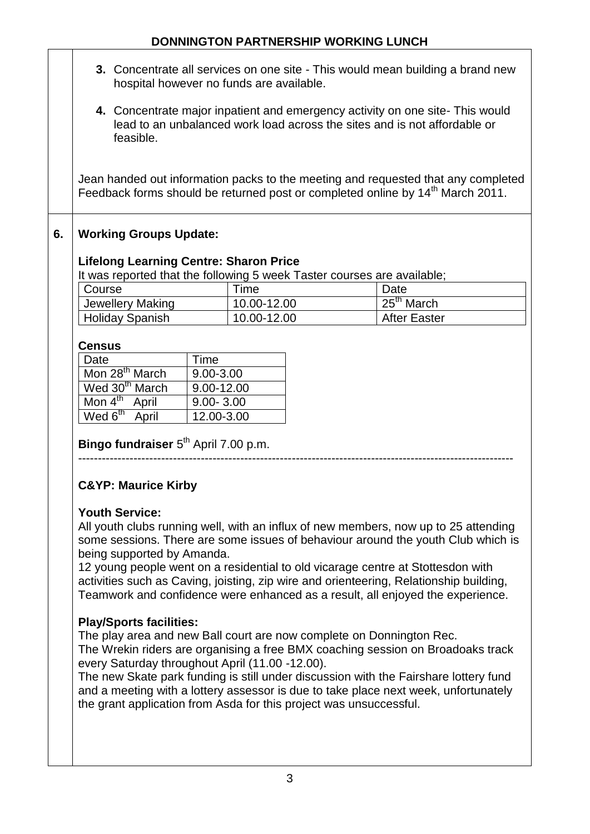# **DONNINGTON PARTNERSHIP WORKING LUNCH**

- **3.** Concentrate all services on one site This would mean building a brand new hospital however no funds are available.
- **4.** Concentrate major inpatient and emergency activity on one site- This would lead to an unbalanced work load across the sites and is not affordable or feasible.

Jean handed out information packs to the meeting and requested that any completed Feedback forms should be returned post or completed online by 14<sup>th</sup> March 2011.

# **6. Working Groups Update:**

#### **Lifelong Learning Centre: Sharon Price**

It was reported that the following 5 week Taster courses are available;

| Course                 | $^\mathsf{T}$ ime | Date                   |
|------------------------|-------------------|------------------------|
| Jewellery Making       | 10.00-12.00       | 25 <sup>th</sup> March |
| <b>Holiday Spanish</b> | 10.00-12.00       | <b>After Easter</b>    |

#### **Census**

| Date                       | Time          |
|----------------------------|---------------|
| Mon 28 <sup>th</sup> March | $9.00 - 3.00$ |
| Wed 30 <sup>th</sup> March | 9.00-12.00    |
| Mon $4th$<br>April         | $9.00 - 3.00$ |
| Wed $6^{th}$<br>April      | 12.00-3.00    |

Bingo fundraiser 5<sup>th</sup> April 7.00 p.m.

--------------------------------------------------------------------------------------------------------------

# **C&YP: Maurice Kirby**

#### **Youth Service:**

All youth clubs running well, with an influx of new members, now up to 25 attending some sessions. There are some issues of behaviour around the youth Club which is being supported by Amanda.

12 young people went on a residential to old vicarage centre at Stottesdon with activities such as Caving, joisting, zip wire and orienteering, Relationship building, Teamwork and confidence were enhanced as a result, all enjoyed the experience.

# **Play/Sports facilities:**

The play area and new Ball court are now complete on Donnington Rec. The Wrekin riders are organising a free BMX coaching session on Broadoaks track every Saturday throughout April (11.00 -12.00).

The new Skate park funding is still under discussion with the Fairshare lottery fund and a meeting with a lottery assessor is due to take place next week, unfortunately the grant application from Asda for this project was unsuccessful.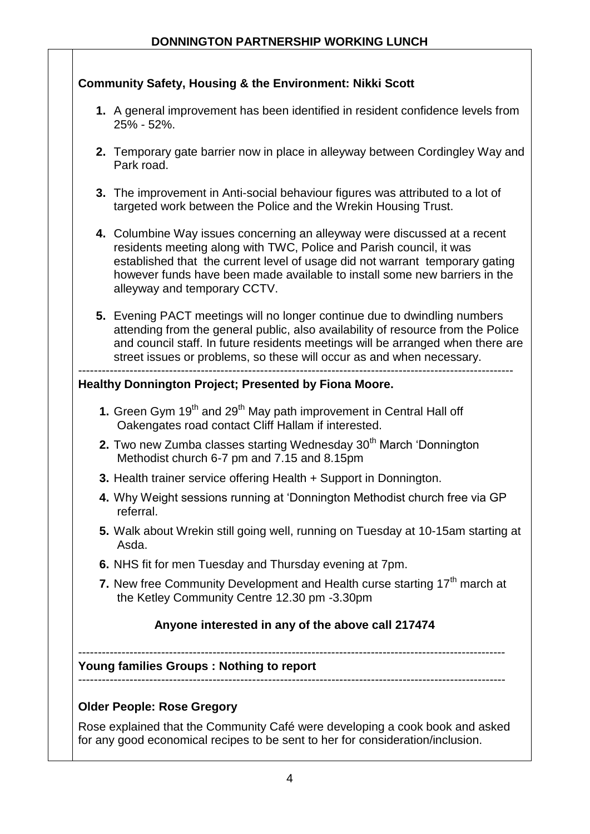| <b>Community Safety, Housing &amp; the Environment: Nikki Scott</b>                                                                                                                                                                                                                                                                            |
|------------------------------------------------------------------------------------------------------------------------------------------------------------------------------------------------------------------------------------------------------------------------------------------------------------------------------------------------|
| 1. A general improvement has been identified in resident confidence levels from<br>25% - 52%.                                                                                                                                                                                                                                                  |
| 2. Temporary gate barrier now in place in alleyway between Cordingley Way and<br>Park road.                                                                                                                                                                                                                                                    |
| 3. The improvement in Anti-social behaviour figures was attributed to a lot of<br>targeted work between the Police and the Wrekin Housing Trust.                                                                                                                                                                                               |
| 4. Columbine Way issues concerning an alleyway were discussed at a recent<br>residents meeting along with TWC, Police and Parish council, it was<br>established that the current level of usage did not warrant temporary gating<br>however funds have been made available to install some new barriers in the<br>alleyway and temporary CCTV. |
| 5. Evening PACT meetings will no longer continue due to dwindling numbers<br>attending from the general public, also availability of resource from the Police<br>and council staff. In future residents meetings will be arranged when there are<br>street issues or problems, so these will occur as and when necessary.                      |
| Healthy Donnington Project; Presented by Fiona Moore.                                                                                                                                                                                                                                                                                          |
| 1. Green Gym 19 <sup>th</sup> and 29 <sup>th</sup> May path improvement in Central Hall off<br>Oakengates road contact Cliff Hallam if interested.                                                                                                                                                                                             |
| 2. Two new Zumba classes starting Wednesday 30 <sup>th</sup> March 'Donnington<br>Methodist church 6-7 pm and 7.15 and 8.15pm                                                                                                                                                                                                                  |
| 3. Health trainer service offering Health + Support in Donnington.                                                                                                                                                                                                                                                                             |
| 4. Why Weight sessions running at 'Donnington Methodist church free via GP<br>referral.                                                                                                                                                                                                                                                        |
| 5. Walk about Wrekin still going well, running on Tuesday at 10-15am starting at<br>Asda.                                                                                                                                                                                                                                                      |
| 6. NHS fit for men Tuesday and Thursday evening at 7pm.                                                                                                                                                                                                                                                                                        |
| 7. New free Community Development and Health curse starting 17 <sup>th</sup> march at<br>the Ketley Community Centre 12.30 pm -3.30pm                                                                                                                                                                                                          |
|                                                                                                                                                                                                                                                                                                                                                |
| Anyone interested in any of the above call 217474                                                                                                                                                                                                                                                                                              |
| <b>Young families Groups: Nothing to report</b>                                                                                                                                                                                                                                                                                                |
|                                                                                                                                                                                                                                                                                                                                                |
| <b>Older People: Rose Gregory</b><br>Rose explained that the Community Café were developing a cook book and asked                                                                                                                                                                                                                              |